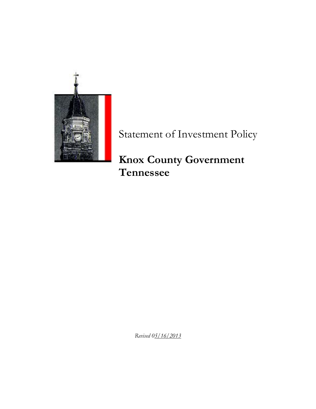

Statement of Investment Policy

**Knox County Government Tennessee**

*Revised 05/16/2013*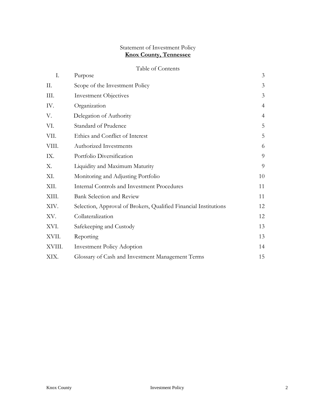### Statement of Investment Policy **Knox County, Tennessee**

# Table of Contents

| I.     | Purpose                                                          | 3              |
|--------|------------------------------------------------------------------|----------------|
| П.     | Scope of the Investment Policy                                   | 3              |
| III.   | <b>Investment Objectives</b>                                     | 3              |
| IV.    | Organization                                                     | $\overline{4}$ |
| V.     | Delegation of Authority                                          | $\overline{4}$ |
| VI.    | Standard of Prudence                                             | 5              |
| VII.   | Ethics and Conflict of Interest                                  | 5              |
| VIII.  | Authorized Investments                                           | 6              |
| IX.    | Portfolio Diversification                                        | 9              |
| Χ.     | Liquidity and Maximum Maturity                                   | 9              |
| XI.    | Monitoring and Adjusting Portfolio                               | 10             |
| XII.   | <b>Internal Controls and Investment Procedures</b>               | 11             |
| XIII.  | <b>Bank Selection and Review</b>                                 | 11             |
| XIV.   | Selection, Approval of Brokers, Qualified Financial Institutions | 12             |
| XV.    | Collateralization                                                | 12             |
| XVI.   | Safekeeping and Custody                                          | 13             |
| XVII.  | Reporting                                                        | 13             |
| XVIII. | <b>Investment Policy Adoption</b>                                | 14             |
| XIX.   | Glossary of Cash and Investment Management Terms                 | 15             |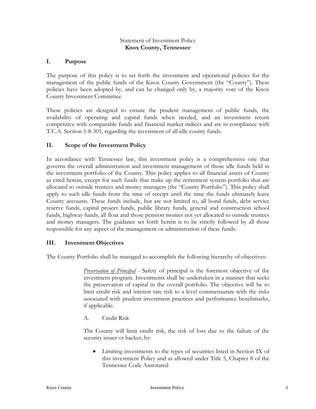#### Statement of Investment Policy **Knox County, Tennessee**

### **I. Purpose**

The purpose of this policy is to set forth the investment and operational policies for the management of the public funds of the Knox County Government (the "County"). These policies have been adopted by, and can be changed only by, a majority vote of the Knox County Investment Committee.

These policies are designed to ensure the prudent management of public funds, the availability of operating and capital funds when needed, and an investment return competitive with comparable funds and financial market indices and are in compliance with T.C.A. Section 5-8-301, regarding the investment of all idle county funds.

## **II. Scope of the Investment Policy**

In accordance with Tennessee law, this investment policy is a comprehensive one that governs the overall administration and investment management of those idle funds held in the investment portfolio of the County. This policy applies to all financial assets of County as cited herein, except for such funds that make up the retirement system portfolio that are allocated to outside trustees and money managers (the "County Portfolio"). This policy shall apply to such idle funds from the time of receipt until the time the funds ultimately leave County accounts. These funds include, but are not limited to, all bond funds, debt service reserve funds, capital project funds, public library funds, general and construction school funds, highway funds, all float and those pension monies not yet allocated to outside trustees and money managers. The guidance set forth herein is to be strictly followed by all those responsible for any aspect of the management or administration of these funds.

### **III. Investment Objectives**

The County Portfolio shall be managed to accomplish the following hierarchy of objectives:

*Preservation of Principal* - Safety of principal is the foremost objective of the investment program. Investments shall be undertaken in a manner that seeks the preservation of capital in the overall portfolio. The objective will be to limit credit risk and interest rate risk to a level commensurate with the risks associated with prudent investment practices and performance benchmarks, if applicable.

A. Credit Risk

The County will limit credit risk, the risk of loss due to the failure of the security issuer or backer, by:

• Limiting investments to the types of securities listed in Section IX of this investment Policy and as allowed under Title 5, Chapter 8 of the Tennessee Code Annotated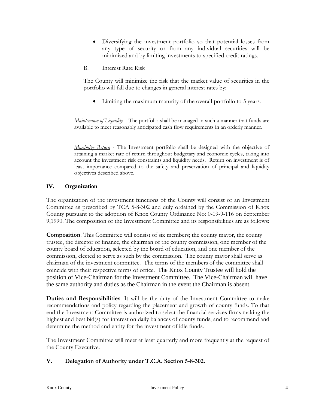- Diversifying the investment portfolio so that potential losses from any type of security or from any individual securities will be minimized and by limiting investments to specified credit ratings.
- B. Interest Rate Risk

The County will minimize the risk that the market value of securities in the portfolio will fall due to changes in general interest rates by:

• Limiting the maximum maturity of the overall portfolio to 5 years.

*Maintenance of Liquidity* – The portfolio shall be managed in such a manner that funds are available to meet reasonably anticipated cash flow requirements in an orderly manner.

*Maximize Return* - The Investment portfolio shall be designed with the objective of attaining a market rate of return throughout budgetary and economic cycles, taking into account the investment risk constraints and liquidity needs. Return on investment is of least importance compared to the safety and preservation of principal and liquidity objectives described above.

#### **IV. Organization**

The organization of the investment functions of the County will consist of an Investment Committee as prescribed by TCA 5-8-302 and duly ordained by the Commission of Knox County pursuant to the adoption of Knox County Ordinance No: 0-09-9-116 on September 9,1990. The composition of the Investment Committee and its responsibilities are as follows:

**Composition**. This Committee will consist of six members; the county mayor, the county trustee, the director of finance, the chairman of the county commission, one member of the county board of education, selected by the board of education, and one member of the commission, elected to serve as such by the commission. The county mayor shall serve as chairman of the investment committee. The terms of the members of the committee shall coincide with their respective terms of office. The Knox County Trustee will hold the position of Vice-Chairman for the Investment Committee. The Vice-Chairman will have the same authority and duties as the Chairman in the event the Chairman is absent.

**Duties and Responsibilities**. It will be the duty of the Investment Committee to make recommendations and policy regarding the placement and growth of county funds. To that end the Investment Committee is authorized to select the financial services firms making the highest and best bid(s) for interest on daily balances of county funds, and to recommend and determine the method and entity for the investment of idle funds.

The Investment Committee will meet at least quarterly and more frequently at the request of the County Executive.

#### **V. Delegation of Authority under T.C.A. Section 5-8-302.**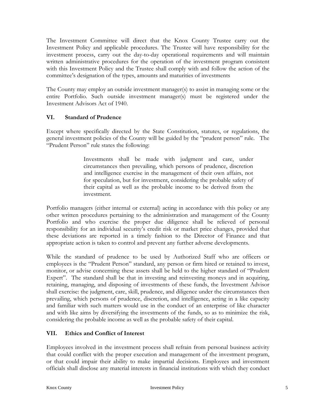The Investment Committee will direct that the Knox County Trustee carry out the Investment Policy and applicable procedures. The Trustee will have responsibility for the investment process, carry out the day-to-day operational requirements and will maintain written administrative procedures for the operation of the investment program consistent with this Investment Policy and the Trustee shall comply with and follow the action of the committee's designation of the types, amounts and maturities of investments

The County may employ an outside investment manager(s) to assist in managing some or the entire Portfolio. Such outside investment manager(s) must be registered under the Investment Advisors Act of 1940.

### **VI. Standard of Prudence**

Except where specifically directed by the State Constitution, statutes, or regulations, the general investment policies of the County will be guided by the "prudent person" rule. The "Prudent Person" rule states the following:

> Investments shall be made with judgment and care, under circumstances then prevailing, which persons of prudence, discretion and intelligence exercise in the management of their own affairs, not for speculation, but for investment, considering the probable safety of their capital as well as the probable income to be derived from the investment.

Portfolio managers (either internal or external) acting in accordance with this policy or any other written procedures pertaining to the administration and management of the County Portfolio and who exercise the proper due diligence shall be relieved of personal responsibility for an individual security's credit risk or market price changes, provided that these deviations are reported in a timely fashion to the Director of Finance and that appropriate action is taken to control and prevent any further adverse developments.

While the standard of prudence to be used by Authorized Staff who are officers or employees is the "Prudent Person" standard, any person or firm hired or retained to invest, monitor, or advise concerning these assets shall be held to the higher standard of "Prudent Expert". The standard shall be that in investing and reinvesting moneys and in acquiring, retaining, managing, and disposing of investments of these funds, the Investment Advisor shall exercise: the judgment, care, skill, prudence, and diligence under the circumstances then prevailing, which persons of prudence, discretion, and intelligence, acting in a like capacity and familiar with such matters would use in the conduct of an enterprise of like character and with like aims by diversifying the investments of the funds, so as to minimize the risk, considering the probable income as well as the probable safety of their capital.

### **VII. Ethics and Conflict of Interest**

Employees involved in the investment process shall refrain from personal business activity that could conflict with the proper execution and management of the investment program, or that could impair their ability to make impartial decisions. Employees and investment officials shall disclose any material interests in financial institutions with which they conduct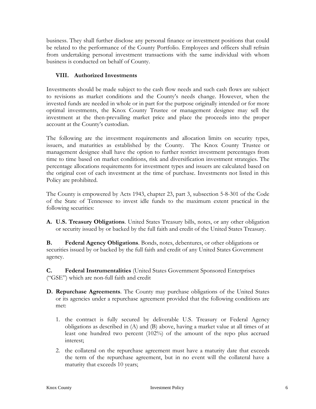business. They shall further disclose any personal finance or investment positions that could be related to the performance of the County Portfolio. Employees and officers shall refrain from undertaking personal investment transactions with the same individual with whom business is conducted on behalf of County.

## **VIII. Authorized Investments**

Investments should be made subject to the cash flow needs and such cash flows are subject to revisions as market conditions and the County's needs change. However, when the invested funds are needed in whole or in part for the purpose originally intended or for more optimal investments, the Knox County Trustee or management designee may sell the investment at the then-prevailing market price and place the proceeds into the proper account at the County's custodian.

The following are the investment requirements and allocation limits on security types, issuers, and maturities as established by the County. The Knox County Trustee or management designee shall have the option to further restrict investment percentages from time to time based on market conditions, risk and diversification investment strategies. The percentage allocations requirements for investment types and issuers are calculated based on the original cost of each investment at the time of purchase. Investments not listed in this Policy are prohibited.

The County is empowered by Acts 1943, chapter 23, part 3, subsection 5-8-301 of the Code of the State of Tennessee to invest idle funds to the maximum extent practical in the following securities:

**A. U.S. Treasury Obligations**. United States Treasury bills, notes, or any other obligation or security issued by or backed by the full faith and credit of the United States Treasury.

**B. Federal Agency Obligations**. Bonds, notes, debentures, or other obligations or securities issued by or backed by the full faith and credit of any United States Government agency.

**C. Federal Instrumentalities** (United States Government Sponsored Enterprises ("GSE") which are non-full faith and credit

- **D. Repurchase Agreements**. The County may purchase obligations of the United States or its agencies under a repurchase agreement provided that the following conditions are met:
	- 1. the contract is fully secured by deliverable U.S. Treasury or Federal Agency obligations as described in (A) and (B) above, having a market value at all times of at least one hundred two percent (102%) of the amount of the repo plus accrued interest;
	- 2. the collateral on the repurchase agreement must have a maturity date that exceeds the term of the repurchase agreement, but in no event will the collateral have a maturity that exceeds 10 years;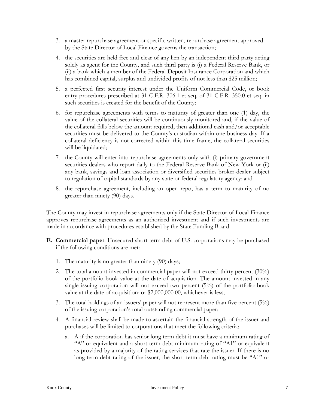- 3. a master repurchase agreement or specific written, repurchase agreement approved by the State Director of Local Finance governs the transaction;
- 4. the securities are held free and clear of any lien by an independent third party acting solely as agent for the County, and such third party is (i) a Federal Reserve Bank, or (ii) a bank which a member of the Federal Deposit Insurance Corporation and which has combined capital, surplus and undivided profits of not less than \$25 million;
- 5. a perfected first security interest under the Uniform Commercial Code, or book entry procedures prescribed at 31 C.F.R. 306.1 et seq. of 31 C.F.R. 350.0 et seq. in such securities is created for the benefit of the County;
- 6. for repurchase agreements with terms to maturity of greater than one (1) day, the value of the collateral securities will be continuously monitored and, if the value of the collateral falls below the amount required, then additional cash and/or acceptable securities must be delivered to the County's custodian within one business day. If a collateral deficiency is not corrected within this time frame, the collateral securities will be liquidated;
- 7. the County will enter into repurchase agreements only with (i) primary government securities dealers who report daily to the Federal Reserve Bank of New York or (ii) any bank, savings and loan association or diversified securities broker-dealer subject to regulation of capital standards by any state or federal regulatory agency; and
- 8. the repurchase agreement, including an open repo, has a term to maturity of no greater than ninety (90) days.

The County may invest in repurchase agreements only if the State Director of Local Finance approves repurchase agreements as an authorized investment and if such investments are made in accordance with procedures established by the State Funding Board.

- **E. Commercial paper**. Unsecured short-term debt of U.S. corporations may be purchased if the following conditions are met:
	- 1. The maturity is no greater than ninety (90) days;
	- 2. The total amount invested in commercial paper will not exceed thirty percent (30%) of the portfolio book value at the date of acquisition. The amount invested in any single issuing corporation will not exceed two percent (5%) of the portfolio book value at the date of acquisition; or \$2,000,000.00, whichever is less;
	- 3. The total holdings of an issuers' paper will not represent more than five percent  $(5%)$ of the issuing corporation's total outstanding commercial paper;
	- 4. A financial review shall be made to ascertain the financial strength of the issuer and purchases will be limited to corporations that meet the following criteria:
		- a. A if the corporation has senior long term debt it must have a minimum rating of "A" or equivalent and a short term debt minimum rating of "A1" or equivalent as provided by a majority of the rating services that rate the issuer. If there is no long-term debt rating of the issuer, the short-term debt rating must be "A1" or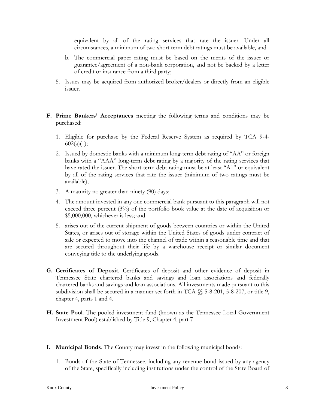equivalent by all of the rating services that rate the issuer. Under all circumstances, a minimum of two short term debt ratings must be available, and

- b. The commercial paper rating must be based on the merits of the issuer or guarantee/agreement of a non-bank corporation, and not be backed by a letter of credit or insurance from a third party;
- 5. Issues may be acquired from authorized broker/dealers or directly from an eligible issuer.
- **F. Prime Bankers' Acceptances** meeting the following terms and conditions may be purchased:
	- 1. Eligible for purchase by the Federal Reserve System as required by TCA 9-4-  $602(a)(1);$
	- 2. Issued by domestic banks with a minimum long-term debt rating of "AA" or foreign banks with a "AAA" long-term debt rating by a majority of the rating services that have rated the issuer. The short-term debt rating must be at least "A1" or equivalent by all of the rating services that rate the issuer (minimum of two ratings must be available);
	- 3. A maturity no greater than ninety (90) days;
	- 4. The amount invested in any one commercial bank pursuant to this paragraph will not exceed three percent (3%) of the portfolio book value at the date of acquisition or \$5,000,000, whichever is less; and
	- 5. arises out of the current shipment of goods between countries or within the United States, or arises out of storage within the United States of goods under contract of sale or expected to move into the channel of trade within a reasonable time and that are secured throughout their life by a warehouse receipt or similar document conveying title to the underlying goods.
- **G. Certificates of Deposit**. Certificates of deposit and other evidence of deposit in Tennessee State chartered banks and savings and loan associations and federally chartered banks and savings and loan associations. All investments made pursuant to this subdivision shall be secured in a manner set forth in TCA §§ 5-8-201, 5-8-207, or title 9, chapter 4, parts 1 and 4.
- **H. State Pool**. The pooled investment fund (known as the Tennessee Local Government Investment Pool) established by Title 9, Chapter 4, part 7
- **I. Municipal Bonds**. The County may invest in the following municipal bonds:
	- 1. Bonds of the State of Tennessee, including any revenue bond issued by any agency of the State, specifically including institutions under the control of the State Board of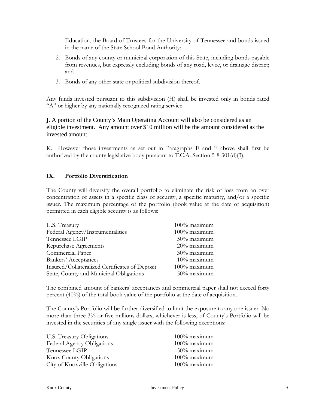Education, the Board of Trustees for the University of Tennessee and bonds issued in the name of the State School Bond Authority;

- 2. Bonds of any county or municipal corporation of this State, including bonds payable from revenues, but expressly excluding bonds of any road, levee, or drainage district; and
- 3. Bonds of any other state or political subdivision thereof.

Any funds invested pursuant to this subdivision (H) shall be invested only in bonds rated "A" or higher by any nationally recognized rating service.

**J**. A portion of the County's Main Operating Account will also be considered as an eligible investment. Any amount over \$10 million will be the amount considered as the invested amount.

K. However those investments as set out in Paragraphs E and F above shall first be authorized by the county legislative body pursuant to T.C.A. Section 5-8-301(d)(3).

# **IX. Portfolio Diversification**

The County will diversify the overall portfolio to eliminate the risk of loss from an over concentration of assets in a specific class of security, a specific maturity, and/or a specific issuer. The maximum percentage of the portfolio (book value at the date of acquisition) permitted in each eligible security is as follows:

| U.S. Treasury                                  | 100% maximum   |
|------------------------------------------------|----------------|
| Federal Agency/Instrumentalities               | 100% maximum   |
| Tennessee LGIP                                 | 50% maximum    |
| Repurchase Agreements                          | 20% maximum    |
| Commercial Paper                               | 30% maximum    |
| Bankers' Acceptances                           | $10\%$ maximum |
| Insured/Collateralized Certificates of Deposit | 100% maximum   |
| State, County and Municipal Obligations        | 50% maximum    |

The combined amount of bankers' acceptances and commercial paper shall not exceed forty percent (40%) of the total book value of the portfolio at the date of acquisition.

The County's Portfolio will be further diversified to limit the exposure to any one issuer. No more than three 3% or five millions dollars, whichever is less, of County's Portfolio will be invested in the securities of any single issuer with the following exceptions:

| U.S. Treasury Obligations      | $100\%$ maximum |
|--------------------------------|-----------------|
| Federal Agency Obligations     | 100% maximum    |
| Tennessee LGIP                 | $50\%$ maximum  |
| <b>Knox County Obligations</b> | 100% maximum    |
| City of Knoxville Obligations  | 100% maximum    |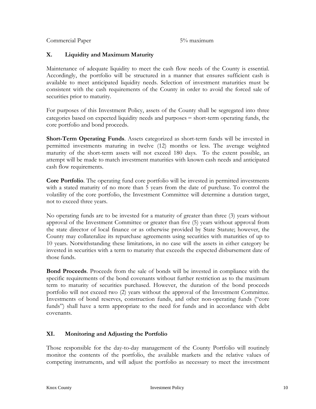Commercial Paper 5% maximum

# **X. Liquidity and Maximum Maturity**

Maintenance of adequate liquidity to meet the cash flow needs of the County is essential. Accordingly, the portfolio will be structured in a manner that ensures sufficient cash is available to meet anticipated liquidity needs. Selection of investment maturities must be consistent with the cash requirements of the County in order to avoid the forced sale of securities prior to maturity.

For purposes of this Investment Policy, assets of the County shall be segregated into three categories based on expected liquidity needs and purposes – short-term operating funds, the core portfolio and bond proceeds.

**Short-Term Operating Funds**. Assets categorized as short-term funds will be invested in permitted investments maturing in twelve (12) months or less. The average weighted maturity of the short-term assets will not exceed 180 days. To the extent possible, an attempt will be made to match investment maturities with known cash needs and anticipated cash flow requirements.

**Core Portfolio**. The operating fund core portfolio will be invested in permitted investments with a stated maturity of no more than 5 years from the date of purchase. To control the volatility of the core portfolio, the Investment Committee will determine a duration target, not to exceed three years.

No operating funds are to be invested for a maturity of greater than three (3) years without approval of the Investment Committee or greater than five (5) years without approval from the state director of local finance or as otherwise provided by State Statute; however, the County may collateralize its repurchase agreements using securities with maturities of up to 10 years. Notwithstanding these limitations, in no case will the assets in either category be invested in securities with a term to maturity that exceeds the expected disbursement date of those funds.

**Bond Proceeds**. Proceeds from the sale of bonds will be invested in compliance with the specific requirements of the bond covenants without further restriction as to the maximum term to maturity of securities purchased. However, the duration of the bond proceeds portfolio will not exceed two (2) years without the approval of the Investment Committee. Investments of bond reserves, construction funds, and other non-operating funds ("core funds") shall have a term appropriate to the need for funds and in accordance with debt covenants.

# **XI. Monitoring and Adjusting the Portfolio**

Those responsible for the day-to-day management of the County Portfolio will routinely monitor the contents of the portfolio, the available markets and the relative values of competing instruments, and will adjust the portfolio as necessary to meet the investment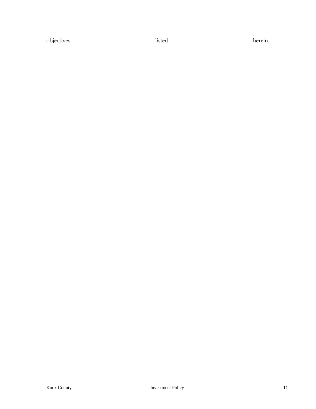objectives listed herein.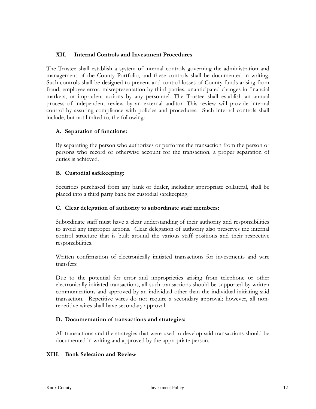#### **XII. Internal Controls and Investment Procedures**

The Trustee shall establish a system of internal controls governing the administration and management of the County Portfolio, and these controls shall be documented in writing. Such controls shall be designed to prevent and control losses of County funds arising from fraud, employee error, misrepresentation by third parties, unanticipated changes in financial markets, or imprudent actions by any personnel. The Trustee shall establish an annual process of independent review by an external auditor. This review will provide internal control by assuring compliance with policies and procedures. Such internal controls shall include, but not limited to, the following:

## **A. Separation of functions:**

By separating the person who authorizes or performs the transaction from the person or persons who record or otherwise account for the transaction, a proper separation of duties is achieved.

#### **B. Custodial safekeeping:**

Securities purchased from any bank or dealer, including appropriate collateral, shall be placed into a third party bank for custodial safekeeping.

#### **C. Clear delegation of authority to subordinate staff members:**

Subordinate staff must have a clear understanding of their authority and responsibilities to avoid any improper actions. Clear delegation of authority also preserves the internal control structure that is built around the various staff positions and their respective responsibilities.

Written confirmation of electronically initiated transactions for investments and wire transfers:

Due to the potential for error and improprieties arising from telephone or other electronically initiated transactions, all such transactions should be supported by written communications and approved by an individual other than the individual initiating said transaction. Repetitive wires do not require a secondary approval; however, all nonrepetitive wires shall have secondary approval.

#### **D. Documentation of transactions and strategies:**

All transactions and the strategies that were used to develop said transactions should be documented in writing and approved by the appropriate person.

#### **XIII. Bank Selection and Review**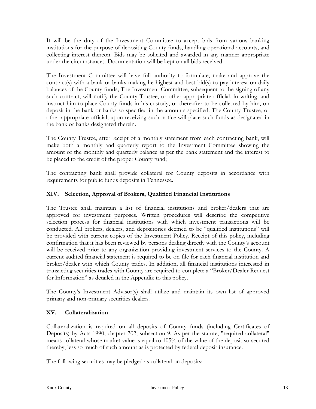It will be the duty of the Investment Committee to accept bids from various banking institutions for the purpose of depositing County funds, handling operational accounts, and collecting interest thereon. Bids may be solicited and awarded in any manner appropriate under the circumstances. Documentation will be kept on all bids received.

The Investment Committee will have full authority to formulate, make and approve the contract(s) with a bank or banks making he highest and best bid(s) to pay interest on daily balances of the County funds; The Investment Committee, subsequent to the signing of any such contract, will notify the County Trustee, or other appropriate official, in writing, and instruct him to place County funds in his custody, or thereafter to be collected by him, on deposit in the bank or banks so specified in the amounts specified. The County Trustee, or other appropriate official, upon receiving such notice will place such funds as designated in the bank or banks designated therein.

The County Trustee, after receipt of a monthly statement from each contracting bank, will make both a monthly and quarterly report to the Investment Committee showing the amount of the monthly and quarterly balance as per the bank statement and the interest to be placed to the credit of the proper County fund;

The contracting bank shall provide collateral for County deposits in accordance with requirements for public funds deposits in Tennessee.

# **XIV. Selection, Approval of Brokers, Qualified Financial Institutions**

The Trustee shall maintain a list of financial institutions and broker/dealers that are approved for investment purposes. Written procedures will describe the competitive selection process for financial institutions with which investment transactions will be conducted. All brokers, dealers, and depositories deemed to be "qualified institutions" will be provided with current copies of the Investment Policy. Receipt of this policy, including confirmation that it has been reviewed by persons dealing directly with the County's account will be received prior to any organization providing investment services to the County. A current audited financial statement is required to be on file for each financial institution and broker/dealer with which County trades. In addition, all financial institutions interested in transacting securities trades with County are required to complete a "Broker/Dealer Request for Information" as detailed in the Appendix to this policy.

The County's Investment Advisor(s) shall utilize and maintain its own list of approved primary and non-primary securities dealers.

# **XV. Collateralization**

Collateralization is required on all deposits of County funds (including Certificates of Deposits) by Acts 1990, chapter 702, subsection 9. As per the statute, "required collateral" means collateral whose market value is equal to 105% of the value of the deposit so secured thereby, less so much of such amount as is protected by federal deposit insurance.

The following securities may be pledged as collateral on deposits: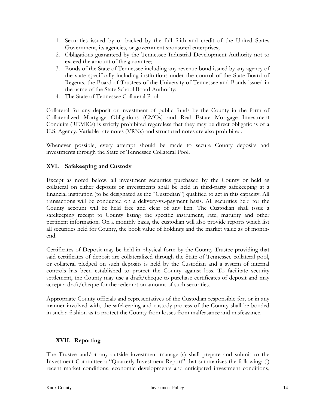- 1. Securities issued by or backed by the full faith and credit of the United States Government, its agencies, or government sponsored enterprises;
- 2. Obligations guaranteed by the Tennessee Industrial Development Authority not to exceed the amount of the guarantee;
- 3. Bonds of the State of Tennessee including any revenue bond issued by any agency of the state specifically including institutions under the control of the State Board of Regents, the Board of Trustees of the University of Tennessee and Bonds issued in the name of the State School Board Authority;
- 4. The State of Tennessee Collateral Pool;

Collateral for any deposit or investment of public funds by the County in the form of Collateralized Mortgage Obligations (CMOs) and Real Estate Mortgage Investment Conduits (REMICs) is strictly prohibited regardless that they may be direct obligations of a U.S. Agency. Variable rate notes (VRNs) and structured notes are also prohibited.

Whenever possible, every attempt should be made to secure County deposits and investments through the State of Tennessee Collateral Pool.

## **XVI. Safekeeping and Custody**

Except as noted below, all investment securities purchased by the County or held as collateral on either deposits or investments shall be held in third-party safekeeping at a financial institution (to be designated as the "Custodian") qualified to act in this capacity. All transactions will be conducted on a delivery-vs.-payment basis. All securities held for the County account will be held free and clear of any lien. The Custodian shall issue a safekeeping receipt to County listing the specific instrument, rate, maturity and other pertinent information. On a monthly basis, the custodian will also provide reports which list all securities held for County, the book value of holdings and the market value as of monthend.

Certificates of Deposit may be held in physical form by the County Trustee providing that said certificates of deposit are collateralized through the State of Tennessee collateral pool, or collateral pledged on such deposits is held by the Custodian and a system of internal controls has been established to protect the County against loss. To facilitate security settlement, the County may use a draft/cheque to purchase certificates of deposit and may accept a draft/cheque for the redemption amount of such securities.

Appropriate County officials and representatives of the Custodian responsible for, or in any manner involved with, the safekeeping and custody process of the County shall be bonded in such a fashion as to protect the County from losses from malfeasance and misfeasance.

### **XVII. Reporting**

The Trustee and/or any outside investment manager(s) shall prepare and submit to the Investment Committee a "Quarterly Investment Report" that summarizes the following: (i) recent market conditions, economic developments and anticipated investment conditions,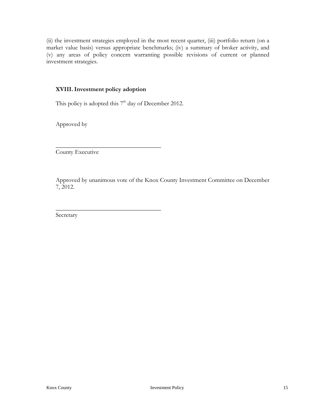(ii) the investment strategies employed in the most recent quarter, (iii) portfolio return (on a market value basis) versus appropriate benchmarks; (iv) a summary of broker activity, and (v) any areas of policy concern warranting possible revisions of current or planned investment strategies.

#### **XVIII.Investment policy adoption**

\_\_\_\_\_\_\_\_\_\_\_\_\_\_\_\_\_\_\_\_\_\_\_\_\_\_\_\_\_\_\_\_\_\_

\_\_\_\_\_\_\_\_\_\_\_\_\_\_\_\_\_\_\_\_\_\_\_\_\_\_\_\_\_\_\_\_\_\_

This policy is adopted this  $7<sup>th</sup>$  day of December 2012.

Approved by

County Executive

Approved by unanimous vote of the Knox County Investment Committee on December 7, 2012.

Secretary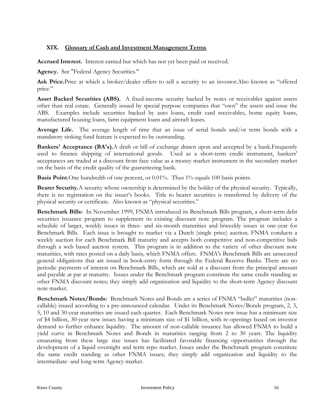## **XIX. Glossary of Cash and Investment Management Terms**

**Accrued Interest.** Interest earned but which has not yet been paid or received.

**Agency.** See "Federal Agency Securities."

Ask Price.Price at which a broker/dealer offers to sell a security to an investor.Also known as "offered" price."

Asset Backed Securities (ABS). A fixed-income security backed by notes or receivables against assets other than real estate. Generally issued by special purpose companies that "own" the assets and issue the ABS. Examples include securities backed by auto loans, credit card receivables, home equity loans, manufactured housing loans, farm equipment loans and aircraft leases.

**Average Life.** The average length of time that an issue of serial bonds and/or term bonds with a mandatory sinking fund feature is expected to be outstanding.

**Bankers' Acceptance (BA's).**A draft or bill of exchange drawn upon and accepted by a bank.Frequently used to finance shipping of international goods. Used as a short-term credit instrument, bankers' acceptances are traded at a discount from face value as a money market instrument in the secondary market on the basis of the credit quality of the guaranteeing bank.

**Basis Point.**One hundredth of one percent, or 0.01%. Thus 1% equals 100 basis points.

**Bearer Security.**A security whose ownership is determined by the holder of the physical security. Typically, there is no registration on the issuer's books. Title to bearer securities is transferred by delivery of the physical security or certificate. Also known as "physical securities."

**Benchmark Bills:** In November 1999, FNMA introduced its Benchmark Bills program, a short-term debt securities issuance program to supplement its existing discount note program. The program includes a schedule of larger, weekly issues in three- and six-month maturities and biweekly issues in one-year for Benchmark Bills. Each issue is brought to market via a Dutch (single price) auction. FNMA conducts a weekly auction for each Benchmark Bill maturity and accepts both competitive and non-competitive bids through a web based auction system. This program is in addition to the variety of other discount note maturities, with rates posted on a daily basis, which FNMA offers. FNMA's Benchmark Bills are unsecured general obligations that are issued in book-entry form through the Federal Reserve Banks. There are no periodic payments of interest on Benchmark Bills, which are sold at a discount from the principal amount and payable at par at maturity. Issues under the Benchmark program constitute the same credit standing as other FNMA discount notes; they simply add organization and liquidity to the short-term Agency discount note market.

**Benchmark Notes/Bonds:** Benchmark Notes and Bonds are a series of FNMA "bullet" maturities (noncallable) issued according to a pre-announced calendar. Under its Benchmark Notes/Bonds program, 2, 3, 5, 10 and 30-year maturities are issued each quarter. Each Benchmark Notes new issue has a minimum size of \$4 billion, 30-year new issues having a minimum size of \$1 billion, with re-openings based on investor demand to further enhance liquidity. The amount of non-callable issuance has allowed FNMA to build a yield curve in Benchmark Notes and Bonds in maturities ranging from 2 to 30 years. The liquidity emanating from these large size issues has facilitated favorable financing opportunities through the development of a liquid overnight and term repo market. Issues under the Benchmark program constitute the same credit standing as other FNMA issues; they simply add organization and liquidity to the intermediate- and long-term Agency market.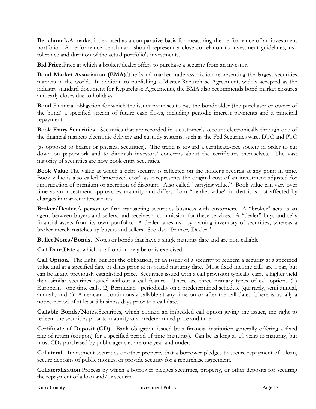**Benchmark.**A market index used as a comparative basis for measuring the performance of an investment portfolio. A performance benchmark should represent a close correlation to investment guidelines, risk tolerance and duration of the actual portfolio's investments.

**Bid Price.**Price at which a broker/dealer offers to purchase a security from an investor.

**Bond Market Association (BMA).**The bond market trade association representing the largest securities markets in the world. In addition to publishing a Master Repurchase Agreement, widely accepted as the industry standard document for Repurchase Agreements, the BMA also recommends bond market closures and early closes due to holidays.

**Bond.**Financial obligation for which the issuer promises to pay the bondholder (the purchaser or owner of the bond) a specified stream of future cash flows, including periodic interest payments and a principal repayment.

**Book Entry Securities.** Securities that are recorded in a customer's account electronically through one of the financial markets electronic delivery and custody systems, such as the Fed Securities wire, DTC and PTC

(as opposed to bearer or physical securities). The trend is toward a certificate-free society in order to cut down on paperwork and to diminish investors' concerns about the certificates themselves. The vast majority of securities are now book entry securities.

**Book Value.**The value at which a debt security is reflected on the holder's records at any point in time. Book value is also called "amortized cost" as it represents the original cost of an investment adjusted for amortization of premium or accretion of discount. Also called "carrying value." Book value can vary over time as an investment approaches maturity and differs from "market value" in that it is not affected by changes in market interest rates.

**Broker/Dealer.**A person or firm transacting securities business with customers. A "broker" acts as an agent between buyers and sellers, and receives a commission for these services. A "dealer" buys and sells financial assets from its own portfolio. A dealer takes risk by owning inventory of securities, whereas a broker merely matches up buyers and sellers. See also "Primary Dealer."

**Bullet Notes/Bonds.** Notes or bonds that have a single maturity date and are non-callable.

**Call Date.**Date at which a call option may be or is exercised.

**Call Option.** The right, but not the obligation, of an issuer of a security to redeem a security at a specified value and at a specified date or dates prior to its stated maturity date. Most fixed-income calls are a par, but can be at any previously established price. Securities issued with a call provision typically carry a higher yield than similar securities issued without a call feature. There are three primary types of call options (1) European - one-time calls, (2) Bermudan - periodically on a predetermined schedule (quarterly, semi-annual, annual), and (3) American - continuously callable at any time on or after the call date. There is usually a notice period of at least 5 business days prior to a call date.

**Callable Bonds/Notes.**Securities, which contain an imbedded call option giving the issuer, the right to redeem the securities prior to maturity at a predetermined price and time.

**Certificate of Deposit (CD).** Bank obligation issued by a financial institution generally offering a fixed rate of return (coupon) for a specified period of time (maturity). Can be as long as 10 years to maturity, but most CDs purchased by public agencies are one year and under.

**Collateral.** Investment securities or other property that a borrower pledges to secure repayment of a loan, secure deposits of public monies, or provide security for a repurchase agreement.

**Collateralization.**Process by which a borrower pledges securities, property, or other deposits for securing the repayment of a loan and/or security.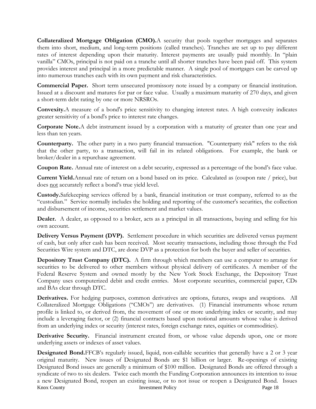**Collateralized Mortgage Obligation (CMO).**A security that pools together mortgages and separates them into short, medium, and long-term positions (called tranches). Tranches are set up to pay different rates of interest depending upon their maturity. Interest payments are usually paid monthly. In "plain vanilla" CMOs, principal is not paid on a tranche until all shorter tranches have been paid off. This system provides interest and principal in a more predictable manner. A single pool of mortgages can be carved up into numerous tranches each with its own payment and risk characteristics.

**Commercial Paper.** Short term unsecured promissory note issued by a company or financial institution. Issued at a discount and matures for par or face value. Usually a maximum maturity of 270 days, and given a short-term debt rating by one or more NRSROs.

**Convexity.**A measure of a bond's price sensitivity to changing interest rates. A high convexity indicates greater sensitivity of a bond's price to interest rate changes.

**Corporate Note.**A debt instrument issued by a corporation with a maturity of greater than one year and less than ten years.

**Counterparty.** The other party in a two party financial transaction. "Counterparty risk" refers to the risk that the other party, to a transaction, will fail in its related obligations. For example, the bank or broker/dealer in a repurchase agreement.

**Coupon Rate.** Annual rate of interest on a debt security, expressed as a percentage of the bond's face value.

**Current Yield.**Annual rate of return on a bond based on its price. Calculated as (coupon rate / price), but does not accurately reflect a bond's true yield level.

**Custody.**Safekeeping services offered by a bank, financial institution or trust company, referred to as the "custodian." Service normally includes the holding and reporting of the customer's securities, the collection and disbursement of income, securities settlement and market values.

**Dealer.** A dealer, as opposed to a broker, acts as a principal in all transactions, buying and selling for his own account.

**Delivery Versus Payment (DVP).** Settlement procedure in which securities are delivered versus payment of cash, but only after cash has been received. Most security transactions, including those through the Fed Securities Wire system and DTC, are done DVP as a protection for both the buyer and seller of securities.

**Depository Trust Company (DTC).** A firm through which members can use a computer to arrange for securities to be delivered to other members without physical delivery of certificates. A member of the Federal Reserve System and owned mostly by the New York Stock Exchange, the Depository Trust Company uses computerized debit and credit entries. Most corporate securities, commercial paper, CDs and BAs clear through DTC.

**Derivatives.** For hedging purposes, common derivatives are options, futures, swaps and swaptions. All Collateralized Mortgage Obligations ("CMOs") are derivatives. (1) Financial instruments whose return profile is linked to, or derived from, the movement of one or more underlying index or security, and may include a leveraging factor, or (2) financial contracts based upon notional amounts whose value is derived from an underlying index or security (interest rates, foreign exchange rates, equities or commodities).

**Derivative Security.** Financial instrument created from, or whose value depends upon, one or more underlying assets or indexes of asset values.

Knox County **Investment Policy Investment Policy Page 18 Designated Bond.**FFCB's regularly issued, liquid, non-callable securities that generally have a 2 or 3 year original maturity. New issues of Designated Bonds are \$1 billion or larger. Re-openings of existing Designated Bond issues are generally a minimum of \$100 million. Designated Bonds are offered through a syndicate of two to six dealers. Twice each month the Funding Corporation announces its intention to issue a new Designated Bond, reopen an existing issue, or to not issue or reopen a Designated Bond. Issues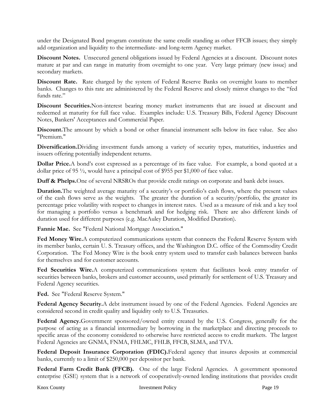under the Designated Bond program constitute the same credit standing as other FFCB issues; they simply add organization and liquidity to the intermediate- and long-term Agency market.

**Discount Notes.** Unsecured general obligations issued by Federal Agencies at a discount. Discount notes mature at par and can range in maturity from overnight to one year. Very large primary (new issue) and secondary markets.

**Discount Rate.** Rate charged by the system of Federal Reserve Banks on overnight loans to member banks. Changes to this rate are administered by the Federal Reserve and closely mirror changes to the "fed funds rate."

**Discount Securities.**Non-interest bearing money market instruments that are issued at discount and redeemed at maturity for full face value. Examples include: U.S. Treasury Bills, Federal Agency Discount Notes, Bankers' Acceptances and Commercial Paper.

**Discount.**The amount by which a bond or other financial instrument sells below its face value. See also "Premium."

**Diversification.**Dividing investment funds among a variety of security types, maturities, industries and issuers offering potentially independent returns.

**Dollar Price.**A bond's cost expressed as a percentage of its face value. For example, a bond quoted at a dollar price of 95 ½, would have a principal cost of \$955 per \$1,000 of face value.

**Duff & Phelps.**One of several NRSROs that provide credit ratings on corporate and bank debt issues.

**Duration.**The weighted average maturity of a security's or portfolio's cash flows, where the present values of the cash flows serve as the weights. The greater the duration of a security/portfolio, the greater its percentage price volatility with respect to changes in interest rates. Used as a measure of risk and a key tool for managing a portfolio versus a benchmark and for hedging risk. There are also different kinds of duration used for different purposes (e.g. MacAuley Duration, Modified Duration).

**Fannie Mae.** See "Federal National Mortgage Association."

**Fed Money Wire.**A computerized communications system that connects the Federal Reserve System with its member banks, certain U. S. Treasury offices, and the Washington D.C. office of the Commodity Credit Corporation. The Fed Money Wire is the book entry system used to transfer cash balances between banks for themselves and for customer accounts.

**Fed Securities Wire.**A computerized communications system that facilitates book entry transfer of securities between banks, brokers and customer accounts, used primarily for settlement of U.S. Treasury and Federal Agency securities.

**Fed.** See "Federal Reserve System."

**Federal Agency Security.**A debt instrument issued by one of the Federal Agencies. Federal Agencies are considered second in credit quality and liquidity only to U.S. Treasuries.

Federal Agency.Government sponsored/owned entity created by the U.S. Congress, generally for the purpose of acting as a financial intermediary by borrowing in the marketplace and directing proceeds to specific areas of the economy considered to otherwise have restricted access to credit markets. The largest Federal Agencies are GNMA, FNMA, FHLMC, FHLB, FFCB, SLMA, and TVA.

**Federal Deposit Insurance Corporation (FDIC).**Federal agency that insures deposits at commercial banks, currently to a limit of \$250,000 per depositor per bank.

**Federal Farm Credit Bank (FFCB).** One of the large Federal Agencies. A government sponsored enterprise (GSE) system that is a network of cooperatively-owned lending institutions that provides credit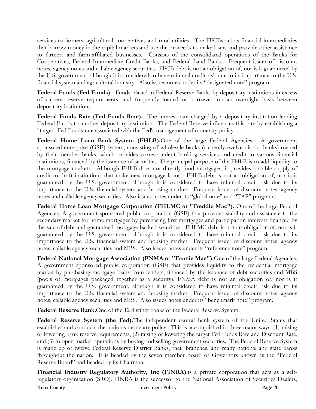services to farmers, agricultural cooperatives and rural utilities. The FFCBs act as financial intermediaries that borrow money in the capital markets and use the proceeds to make loans and provide other assistance to farmers and farm-affiliated businesses. Consists of the consolidated operations of the Banks for Cooperatives, Federal Intermediate Credit Banks, and Federal Land Banks. Frequent issuer of discount notes, agency notes and callable agency securities. FFCB debt is not an obligation of, nor is it guaranteed by the U.S. government, although it is considered to have minimal credit risk due to its importance to the U.S. financial system and agricultural industry. Also issues notes under its "designated note" program.

**Federal Funds (Fed Funds).** Funds placed in Federal Reserve Banks by depository institutions in excess of current reserve requirements, and frequently loaned or borrowed on an overnight basis between depository institutions.

**Federal Funds Rate (Fed Funds Rate).** The interest rate charged by a depository institution lending Federal Funds to another depository institution. The Federal Reserve influences this rate by establishing a "target" Fed Funds rate associated with the Fed's management of monetary policy.

**Federal Home Loan Bank System (FHLB).**One of the large Federal Agencies. A government sponsored enterprise (GSE) system, consisting of wholesale banks (currently twelve district banks) owned by their member banks, which provides correspondent banking services and credit to various financial institutions, financed by the issuance of securities. The principal purpose of the FHLB is to add liquidity to the mortgage markets. Although FHLB does not directly fund mortgages, it provides a stable supply of credit to thrift institutions that make new mortgage loans. FHLB debt is not an obligation of, nor is it guaranteed by the U.S. government, although it is considered to have minimal credit risk due to its importance to the U.S. financial system and housing market. Frequent issuer of discount notes, agency notes and callable agency securities. Also issues notes under its "global note" and "TAP" programs.

**Federal Home Loan Mortgage Corporation (FHLMC or "Freddie Mac").** One of the large Federal Agencies. A government sponsored public corporation (GSE) that provides stability and assistance to the secondary market for home mortgages by purchasing first mortgages and participation interests financed by the sale of debt and guaranteed mortgage backed securities. FHLMC debt is not an obligation of, nor is it guaranteed by the U.S. government, although it is considered to have minimal credit risk due to its importance to the U.S. financial system and housing market. Frequent issuer of discount notes, agency notes, callable agency securities and MBS. Also issues notes under its "reference note" program.

**Federal National Mortgage Association (FNMA or "Fannie Mae").**One of the large Federal Agencies. A government sponsored public corporation (GSE) that provides liquidity to the residential mortgage market by purchasing mortgage loans from lenders, financed by the issuance of debt securities and MBS (pools of mortgages packaged together as a security). FNMA debt is not an obligation of, nor is it guaranteed by the U.S. government, although it is considered to have minimal credit risk due to its importance to the U.S. financial system and housing market. Frequent issuer of discount notes, agency notes, callable agency securities and MBS. Also issues notes under its "benchmark note" program.

**Federal Reserve Bank.**One of the 12 distinct banks of the Federal Reserve System.

**Federal Reserve System (the Fed).**The independent central bank system of the United States that establishes and conducts the nation's monetary policy. This is accomplished in three major ways: (1) raising or lowering bank reserve requirements, (2) raising or lowering the target Fed Funds Rate and Discount Rate, and (3) in open market operations by buying and selling government securities. The Federal Reserve System is made up of twelve Federal Reserve District Banks, their branches, and many national and state banks throughout the nation. It is headed by the seven member Board of Governors known as the "Federal Reserve Board" and headed by its Chairman.

Knox County **Investment Policy Page 20 Financial Industry Regulatory Authority, Inc (FINRA).**is a private corporation that acts as a selfregulatory organization (SRO). FINRA is the successor to the National Association of Securities Dealers,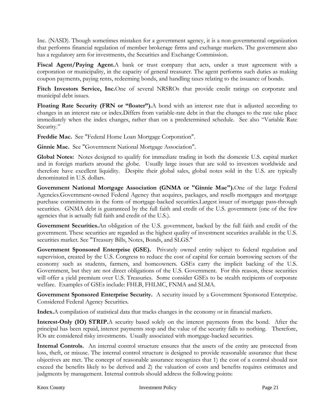Inc. (NASD). Though sometimes mistaken for a government agency, it is a non-governmental organization that performs financial regulation of member brokerage firms and exchange markets. The government also has a regulatory arm for investments, the Securities and Exchange Commission.

**Fiscal Agent/Paying Agent.**A bank or trust company that acts, under a trust agreement with a corporation or municipality, in the capacity of general treasurer. The agent performs such duties as making coupon payments, paying rents, redeeming bonds, and handling taxes relating to the issuance of bonds.

**Fitch Investors Service, Inc.**One of several NRSROs that provide credit ratings on corporate and municipal debt issues.

**Floating Rate Security (FRN or "floater").**A bond with an interest rate that is adjusted according to changes in an interest rate or index.Differs from variable-rate debt in that the changes to the rate take place immediately when the index changes, rather than on a predetermined schedule. See also "Variable Rate Security."

**Freddie Mac.** See "Federal Home Loan Mortgage Corporation".

**Ginnie Mae.** See "Government National Mortgage Association".

**Global Notes:** Notes designed to qualify for immediate trading in both the domestic U.S. capital market and in foreign markets around the globe. Usually large issues that are sold to investors worldwide and therefore have excellent liquidity. Despite their global sales, global notes sold in the U.S. are typically denominated in U.S. dollars.

**Government National Mortgage Association (GNMA or "Ginnie Mae").**One of the large Federal Agencies.Government-owned Federal Agency that acquires, packages, and resells mortgages and mortgage purchase commitments in the form of mortgage-backed securities.Largest issuer of mortgage pass-through securities. GNMA debt is guaranteed by the full faith and credit of the U.S. government (one of the few agencies that is actually full faith and credit of the U.S.).

**Government Securities.**An obligation of the U.S. government, backed by the full faith and credit of the government. These securities are regarded as the highest quality of investment securities available in the U.S. securities market. See "Treasury Bills, Notes, Bonds, and SLGS."

Government Sponsored Enterprise (GSE). Privately owned entity subject to federal regulation and supervision, created by the U.S. Congress to reduce the cost of capital for certain borrowing sectors of the economy such as students, farmers, and homeowners. GSEs carry the implicit backing of the U.S. Government, but they are not direct obligations of the U.S. Government. For this reason, these securities will offer a yield premium over U.S. Treasuries. Some consider GSEs to be stealth recipients of corporate welfare. Examples of GSEs include: FHLB, FHLMC, FNMA and SLMA.

**Government Sponsored Enterprise Security.** A security issued by a Government Sponsored Enterprise. Considered Federal Agency Securities.

**Index.**A compilation of statistical data that tracks changes in the economy or in financial markets.

**Interest-Only (IO) STRIP.**A security based solely on the interest payments from the bond. After the principal has been repaid, interest payments stop and the value of the security falls to nothing. Therefore, IOs are considered risky investments. Usually associated with mortgage-backed securities.

**Internal Controls.** An internal control structure ensures that the assets of the entity are protected from loss, theft, or misuse. The internal control structure is designed to provide reasonable assurance that these objectives are met. The concept of reasonable assurance recognizes that 1) the cost of a control should not exceed the benefits likely to be derived and 2) the valuation of costs and benefits requires estimates and judgments by management. Internal controls should address the following points: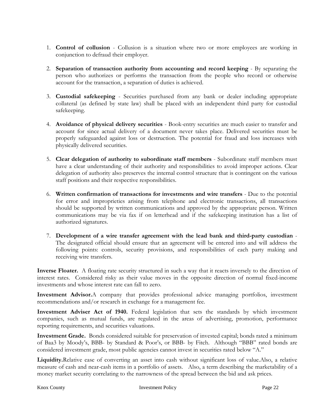- 1. **Control of collusion** Collusion is a situation where two or more employees are working in conjunction to defraud their employer.
- 2. **Separation of transaction authority from accounting and record keeping** By separating the person who authorizes or performs the transaction from the people who record or otherwise account for the transaction, a separation of duties is achieved.
- 3. **Custodial safekeeping** Securities purchased from any bank or dealer including appropriate collateral (as defined by state law) shall be placed with an independent third party for custodial safekeeping.
- 4. **Avoidance of physical delivery securities** Book-entry securities are much easier to transfer and account for since actual delivery of a document never takes place. Delivered securities must be properly safeguarded against loss or destruction. The potential for fraud and loss increases with physically delivered securities.
- 5. **Clear delegation of authority to subordinate staff members** Subordinate staff members must have a clear understanding of their authority and responsibilities to avoid improper actions. Clear delegation of authority also preserves the internal control structure that is contingent on the various staff positions and their respective responsibilities.
- 6. **Written confirmation of transactions for investments and wire transfers** Due to the potential for error and improprieties arising from telephone and electronic transactions, all transactions should be supported by written communications and approved by the appropriate person. Written communications may be via fax if on letterhead and if the safekeeping institution has a list of authorized signatures.
- 7. **Development of a wire transfer agreement with the lead bank and third-party custodian** The designated official should ensure that an agreement will be entered into and will address the following points: controls, security provisions, and responsibilities of each party making and receiving wire transfers.

**Inverse Floater.** A floating rate security structured in such a way that it reacts inversely to the direction of interest rates. Considered risky as their value moves in the opposite direction of normal fixed-income investments and whose interest rate can fall to zero.

**Investment Advisor.**A company that provides professional advice managing portfolios, investment recommendations and/or research in exchange for a management fee.

**Investment Adviser Act of 1940.** Federal legislation that sets the standards by which investment companies, such as mutual funds, are regulated in the areas of advertising, promotion, performance reporting requirements, and securities valuations.

**Investment Grade.** Bonds considered suitable for preservation of invested capital; bonds rated a minimum of Baa3 by Moody's, BBB- by Standard & Poor's, or BBB- by Fitch. Although "BBB" rated bonds are considered investment grade, most public agencies cannot invest in securities rated below "A."

**Liquidity.**Relative ease of converting an asset into cash without significant loss of value.Also, a relative measure of cash and near-cash items in a portfolio of assets. Also, a term describing the marketability of a money market security correlating to the narrowness of the spread between the bid and ask prices.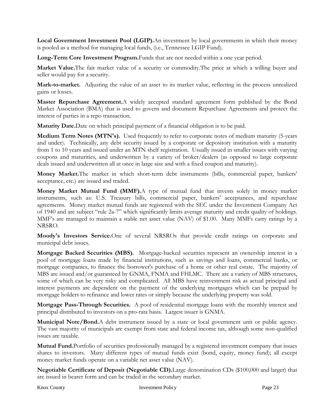**Local Government Investment Pool (LGIP).**An investment by local governments in which their money is pooled as a method for managing local funds, (i.e., Tennessee LGIP Fund).

**Long-Term Core Investment Program.**Funds that are not needed within a one year period.

**Market Value.**The fair market value of a security or commodity.The price at which a willing buyer and seller would pay for a security.

**Mark-to-market.** Adjusting the value of an asset to its market value, reflecting in the process unrealized gains or losses.

**Master Repurchase Agreement.**A widely accepted standard agreement form published by the Bond Market Association (BMA) that is used to govern and document Repurchase Agreements and protect the interest of parties in a repo transaction.

**Maturity Date.**Date on which principal payment of a financial obligation is to be paid.

**Medium Term Notes (MTN's).** Used frequently to refer to corporate notes of medium maturity (5-years and under). Technically, any debt security issued by a corporate or depository institution with a maturity from 1 to 10 years and issued under an MTN shelf registration. Usually issued in smaller issues with varying coupons and maturities, and underwritten by a variety of broker/dealers (as opposed to large corporate deals issued and underwritten all at once in large size and with a fixed coupon and maturity).

**Money Market.**The market in which short-term debt instruments (bills, commercial paper, bankers' acceptance, etc.) are issued and traded.

**Money Market Mutual Fund (MMF).**A type of mutual fund that invests solely in money market instruments, such as: U.S. Treasury bills, commercial paper, bankers' acceptances, and repurchase agreements. Money market mutual funds are registered with the SEC under the Investment Company Act of 1940 and are subject "rule 2a-7" which significantly limits average maturity and credit quality of holdings. MMF's are managed to maintain a stable net asset value (NAV) of \$1.00. Many MMFs carry ratings by a NRSRO.

**Moody's Investors Service.**One of several NRSROs that provide credit ratings on corporate and municipal debt issues.

**Mortgage Backed Securities (MBS).** Mortgage-backed securities represent an ownership interest in a pool of mortgage loans made by financial institutions, such as savings and loans, commercial banks, or mortgage companies, to finance the borrower's purchase of a home or other real estate. The majority of MBS are issued and/or guaranteed by GNMA, FNMA and FHLMC. There are a variety of MBS structures, some of which can be very risky and complicated. All MBS have reinvestment risk as actual principal and interest payments are dependent on the payment of the underlying mortgages which can be prepaid by mortgage holders to refinance and lower rates or simply because the underlying property was sold.

**Mortgage Pass-Through Securities.** A pool of residential mortgage loans with the monthly interest and principal distributed to investors on a pro-rata basis. Largest issuer is GNMA.

**Municipal Note/Bond.**A debt instrument issued by a state or local government unit or public agency. The vast majority of municipals are exempt from state and federal income tax, although some non-qualified issues are taxable.

**Mutual Fund.**Portfolio of securities professionally managed by a registered investment company that issues shares to investors. Many different types of mutual funds exist (bond, equity, money fund); all except money market funds operate on a variable net asset value (NAV).

**Negotiable Certificate of Deposit (Negotiable CD).**Large denomination CDs (\$100,000 and larger) that are issued in bearer form and can be traded in the secondary market.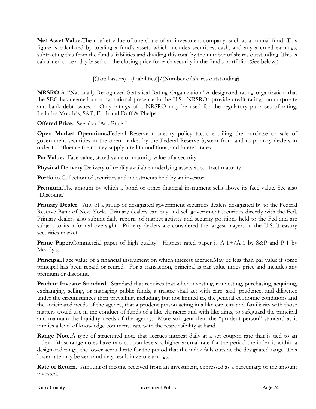**Net Asset Value.**The market value of one share of an investment company, such as a mutual fund. This figure is calculated by totaling a fund's assets which includes securities, cash, and any accrued earnings, subtracting this from the fund's liabilities and dividing this total by the number of shares outstanding. This is calculated once a day based on the closing price for each security in the fund's portfolio. (See below.)

[(Total assets) - (Liabilities)]/(Number of shares outstanding)

**NRSRO.**A "Nationally Recognized Statistical Rating Organization."A designated rating organization that the SEC has deemed a strong national presence in the U.S. NRSROs provide credit ratings on corporate and bank debt issues. Only ratings of a NRSRO may be used for the regulatory purposes of rating. Includes Moody's, S&P, Fitch and Duff & Phelps.

**Offered Price.** See also "Ask Price."

**Open Market Operations.**Federal Reserve monetary policy tactic entailing the purchase or sale of government securities in the open market by the Federal Reserve System from and to primary dealers in order to influence the money supply, credit conditions, and interest rates.

**Par Value.** Face value, stated value or maturity value of a security.

**Physical Delivery.**Delivery of readily available underlying assets at contract maturity.

**Portfolio.**Collection of securities and investments held by an investor.

**Premium.**The amount by which a bond or other financial instrument sells above its face value. See also "Discount."

**Primary Dealer.** Any of a group of designated government securities dealers designated by to the Federal Reserve Bank of New York. Primary dealers can buy and sell government securities directly with the Fed. Primary dealers also submit daily reports of market activity and security positions held to the Fed and are subject to its informal oversight. Primary dealers are considered the largest players in the U.S. Treasury securities market.

**Prime Paper.**Commercial paper of high quality. Highest rated paper is A-1+/A-1 by S&P and P-1 by Moody's.

**Principal.**Face value of a financial instrument on which interest accrues.May be less than par value if some principal has been repaid or retired. For a transaction, principal is par value times price and includes any premium or discount.

**Prudent Investor Standard.** Standard that requires that when investing, reinvesting, purchasing, acquiring, exchanging, selling, or managing public funds, a trustee shall act with care, skill, prudence, and diligence under the circumstances then prevailing, including, but not limited to, the general economic conditions and the anticipated needs of the agency, that a prudent person acting in a like capacity and familiarity with those matters would use in the conduct of funds of a like character and with like aims, to safeguard the principal and maintain the liquidity needs of the agency. More stringent than the "prudent person" standard as it implies a level of knowledge commensurate with the responsibility at hand.

**Range Note.**A type of structured note that accrues interest daily at a set coupon rate that is tied to an index. Most range notes have two coupon levels; a higher accrual rate for the period the index is within a designated range, the lower accrual rate for the period that the index falls outside the designated range. This lower rate may be zero and may result in zero earnings.

**Rate of Return.** Amount of income received from an investment, expressed as a percentage of the amount invested.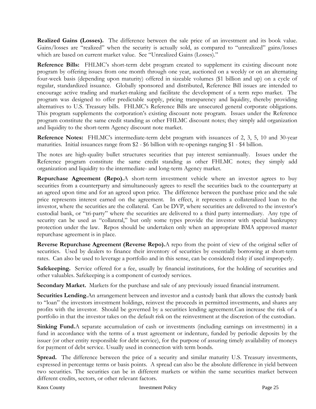**Realized Gains (Losses).** The difference between the sale price of an investment and its book value. Gains/losses are "realized" when the security is actually sold, as compared to "unrealized" gains/losses which are based on current market value. See "Unrealized Gains (Losses)."

**Reference Bills:** FHLMC's short-term debt program created to supplement its existing discount note program by offering issues from one month through one year, auctioned on a weekly or on an alternating four-week basis (depending upon maturity) offered in sizeable volumes (\$1 billion and up) on a cycle of regular, standardized issuance. Globally sponsored and distributed, Reference Bill issues are intended to encourage active trading and market-making and facilitate the development of a term repo market. The program was designed to offer predictable supply, pricing transparency and liquidity, thereby providing alternatives to U.S. Treasury bills. FHLMC's Reference Bills are unsecured general corporate obligations. This program supplements the corporation's existing discount note program. Issues under the Reference program constitute the same credit standing as other FHLMC discount notes; they simply add organization and liquidity to the short-term Agency discount note market.

**Reference Notes:** FHLMC's intermediate-term debt program with issuances of 2, 3, 5, 10 and 30-year maturities. Initial issuances range from \$2 - \$6 billion with re-openings ranging \$1 - \$4 billion.

The notes are high-quality bullet structures securities that pay interest semiannually. Issues under the Reference program constitute the same credit standing as other FHLMC notes; they simply add organization and liquidity to the intermediate- and long-term Agency market.

**Repurchase Agreement (Repo).**A short-term investment vehicle where an investor agrees to buy securities from a counterparty and simultaneously agrees to resell the securities back to the counterparty at an agreed upon time and for an agreed upon price. The difference between the purchase price and the sale price represents interest earned on the agreement. In effect, it represents a collateralized loan to the investor, where the securities are the collateral. Can be DVP, where securities are delivered to the investor's custodial bank, or "tri-party" where the securities are delivered to a third party intermediary. Any type of security can be used as "collateral," but only some types provide the investor with special bankruptcy protection under the law. Repos should be undertaken only when an appropriate BMA approved master repurchase agreement is in place.

**Reverse Repurchase Agreement (Reverse Repo).**A repo from the point of view of the original seller of securities. Used by dealers to finance their inventory of securities by essentially borrowing at short-term rates. Can also be used to leverage a portfolio and in this sense, can be considered risky if used improperly.

**Safekeeping.** Service offered for a fee, usually by financial institutions, for the holding of securities and other valuables. Safekeeping is a component of custody services.

**Secondary Market.** Markets for the purchase and sale of any previously issued financial instrument.

**Securities Lending.**An arrangement between and investor and a custody bank that allows the custody bank to "loan" the investors investment holdings, reinvest the proceeds in permitted investments, and shares any profits with the investor. Should be governed by a securities lending agreement.Can increase the risk of a portfolio in that the investor takes on the default risk on the reinvestment at the discretion of the custodian.

**Sinking Fund.**A separate accumulation of cash or investments (including earnings on investments) in a fund in accordance with the terms of a trust agreement or indenture, funded by periodic deposits by the issuer (or other entity responsible for debt service), for the purpose of assuring timely availability of moneys for payment of debt service. Usually used in connection with term bonds.

Spread. The difference between the price of a security and similar maturity U.S. Treasury investments, expressed in percentage terms or basis points. A spread can also be the absolute difference in yield between two securities. The securities can be in different markets or within the same securities market between different credits, sectors, or other relevant factors.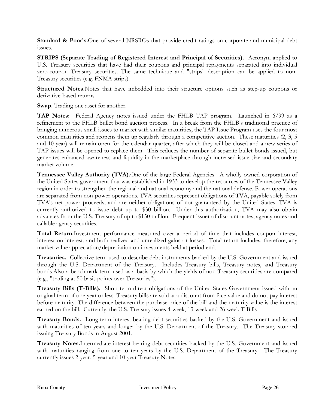**Standard & Poor's.**One of several NRSROs that provide credit ratings on corporate and municipal debt issues.

**STRIPS (Separate Trading of Registered Interest and Principal of Securities).** Acronym applied to U.S. Treasury securities that have had their coupons and principal repayments separated into individual zero-coupon Treasury securities. The same technique and "strips" description can be applied to non-Treasury securities (e.g. FNMA strips).

**Structured Notes.**Notes that have imbedded into their structure options such as step-up coupons or derivative-based returns.

**Swap.** Trading one asset for another.

**TAP Notes:** Federal Agency notes issued under the FHLB TAP program. Launched in 6/99 as a refinement to the FHLB bullet bond auction process. In a break from the FHLB's traditional practice of bringing numerous small issues to market with similar maturities, the TAP Issue Program uses the four most common maturities and reopens them up regularly through a competitive auction. These maturities (2, 3, 5) and 10 year) will remain open for the calendar quarter, after which they will be closed and a new series of TAP issues will be opened to replace them. This reduces the number of separate bullet bonds issued, but generates enhanced awareness and liquidity in the marketplace through increased issue size and secondary market volume.

**Tennessee Valley Authority (TVA).**One of the large Federal Agencies. A wholly owned corporation of the United States government that was established in 1933 to develop the resources of the Tennessee Valley region in order to strengthen the regional and national economy and the national defense. Power operations are separated from non-power operations. TVA securities represent obligations of TVA, payable solely from TVA's net power proceeds, and are neither obligations of nor guaranteed by the United States. TVA is currently authorized to issue debt up to \$30 billion. Under this authorization, TVA may also obtain advances from the U.S. Treasury of up to \$150 million. Frequent issuer of discount notes, agency notes and callable agency securities.

**Total Return.**Investment performance measured over a period of time that includes coupon interest, interest on interest, and both realized and unrealized gains or losses. Total return includes, therefore, any market value appreciation/depreciation on investments held at period end.

**Treasuries.** Collective term used to describe debt instruments backed by the U.S. Government and issued through the U.S. Department of the Treasury. Includes Treasury bills, Treasury notes, and Treasury bonds.Also a benchmark term used as a basis by which the yields of non-Treasury securities are compared (e.g., "trading at 50 basis points over Treasuries").

**Treasury Bills (T-Bills).** Short-term direct obligations of the United States Government issued with an original term of one year or less. Treasury bills are sold at a discount from face value and do not pay interest before maturity. The difference between the purchase price of the bill and the maturity value is the interest earned on the bill. Currently, the U.S. Treasury issues 4-week, 13-week and 26-week T-Bills

**Treasury Bonds.** Long-term interest-bearing debt securities backed by the U.S. Government and issued with maturities of ten years and longer by the U.S. Department of the Treasury. The Treasury stopped issuing Treasury Bonds in August 2001.

**Treasury Notes.**Intermediate interest-bearing debt securities backed by the U.S. Government and issued with maturities ranging from one to ten years by the U.S. Department of the Treasury. The Treasury currently issues 2-year, 5-year and 10-year Treasury Notes.